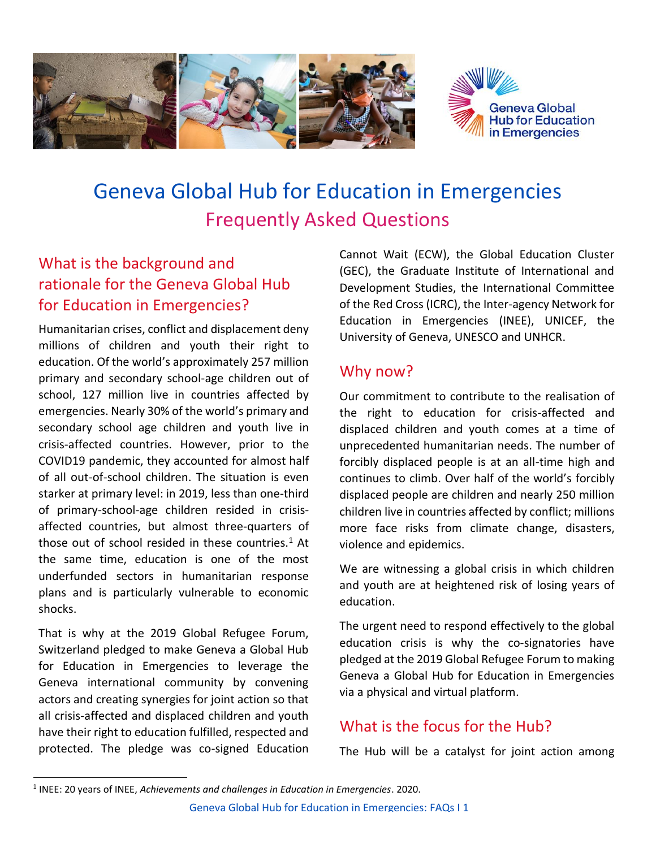

# Geneva Global Hub for Education in Emergencies Frequently Asked Questions

# What is the background and rationale for the Geneva Global Hub for Education in Emergencies?

Humanitarian crises, conflict and displacement deny millions of children and youth their right to education. Of the world's approximately 257 million primary and secondary school-age children out of school, 127 million live in countries affected by emergencies. Nearly 30% of the world's primary and secondary school age children and youth live in crisis-affected countries. However, prior to the COVID19 pandemic, they accounted for almost half of all out-of-school children. The situation is even starker at primary level: in 2019, less than one-third of primary-school-age children resided in crisisaffected countries, but almost three-quarters of those out of school resided in these countries. $1$  At the same time, education is one of the most underfunded sectors in humanitarian response plans and is particularly vulnerable to economic shocks.

That is why at the 2019 Global Refugee Forum, Switzerland pledged to make Geneva a Global Hub for Education in Emergencies to leverage the Geneva international community by convening actors and creating synergies for joint action so that all crisis-affected and displaced children and youth have their right to education fulfilled, respected and protected. The pledge was co-signed Education

Cannot Wait (ECW), the Global Education Cluster (GEC), the Graduate Institute of International and Development Studies, the International Committee of the Red Cross (ICRC), the Inter-agency Network for Education in Emergencies (INEE), UNICEF, the University of Geneva, UNESCO and UNHCR.

#### Why now?

Our commitment to contribute to the realisation of the right to education for crisis-affected and displaced children and youth comes at a time of unprecedented humanitarian needs. The number of forcibly displaced people is at an all-time high and continues to climb. Over half of the world's forcibly displaced people are children and nearly 250 million children live in countries affected by conflict; millions more face risks from climate change, disasters, violence and epidemics.

We are witnessing a global crisis in which children and youth are at heightened risk of losing years of education.

The urgent need to respond effectively to the global education crisis is why the co-signatories have pledged at the 2019 Global Refugee Forum to making Geneva a Global Hub for Education in Emergencies via a physical and virtual platform.

## What is the focus for the Hub?

The Hub will be a catalyst for joint action among

<sup>1</sup> INEE: 20 years of INEE, *Achievements and challenges in Education in Emergencies*. 2020.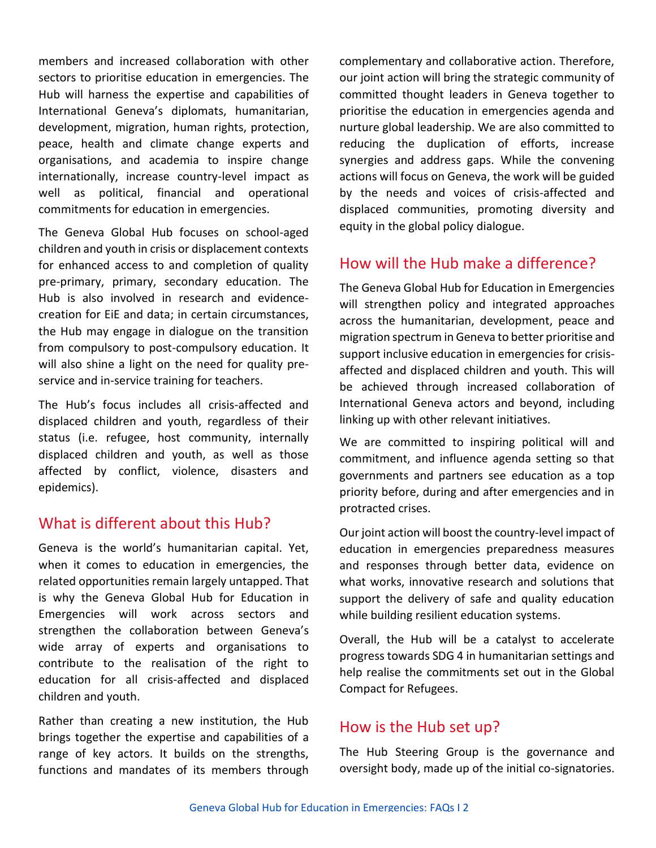members and increased collaboration with other sectors to prioritise education in emergencies. The Hub will harness the expertise and capabilities of International Geneva's diplomats, humanitarian, development, migration, human rights, protection, peace, health and climate change experts and organisations, and academia to inspire change internationally, increase country-level impact as well as political, financial and operational commitments for education in emergencies.

The Geneva Global Hub focuses on school-aged children and youth in crisis or displacement contexts for enhanced access to and completion of quality pre-primary, primary, secondary education. The Hub is also involved in research and evidencecreation for EiE and data; in certain circumstances, the Hub may engage in dialogue on the transition from compulsory to post-compulsory education. It will also shine a light on the need for quality preservice and in-service training for teachers.

The Hub's focus includes all crisis-affected and displaced children and youth, regardless of their status (i.e. refugee, host community, internally displaced children and youth, as well as those affected by conflict, violence, disasters and epidemics).

#### What is different about this Hub?

Geneva is the world's humanitarian capital. Yet, when it comes to education in emergencies, the related opportunities remain largely untapped. That is why the Geneva Global Hub for Education in Emergencies will work across sectors and strengthen the collaboration between Geneva's wide array of experts and organisations to contribute to the realisation of the right to education for all crisis-affected and displaced children and youth.

Rather than creating a new institution, the Hub brings together the expertise and capabilities of a range of key actors. It builds on the strengths, functions and mandates of its members through

complementary and collaborative action. Therefore, our joint action will bring the strategic community of committed thought leaders in Geneva together to prioritise the education in emergencies agenda and nurture global leadership. We are also committed to reducing the duplication of efforts, increase synergies and address gaps. While the convening actions will focus on Geneva, the work will be guided by the needs and voices of crisis-affected and displaced communities, promoting diversity and equity in the global policy dialogue.

## How will the Hub make a difference?

The Geneva Global Hub for Education in Emergencies will strengthen policy and integrated approaches across the humanitarian, development, peace and migration spectrum in Geneva to better prioritise and support inclusive education in emergencies for crisisaffected and displaced children and youth. This will be achieved through increased collaboration of International Geneva actors and beyond, including linking up with other relevant initiatives.

We are committed to inspiring political will and commitment, and influence agenda setting so that governments and partners see education as a top priority before, during and after emergencies and in protracted crises.

Our joint action will boost the country-level impact of education in emergencies preparedness measures and responses through better data, evidence on what works, innovative research and solutions that support the delivery of safe and quality education while building resilient education systems.

Overall, the Hub will be a catalyst to accelerate progress towards SDG 4 in humanitarian settings and help realise the commitments set out in the Global Compact for Refugees.

#### How is the Hub set up?

The Hub Steering Group is the governance and oversight body, made up of the initial co-signatories.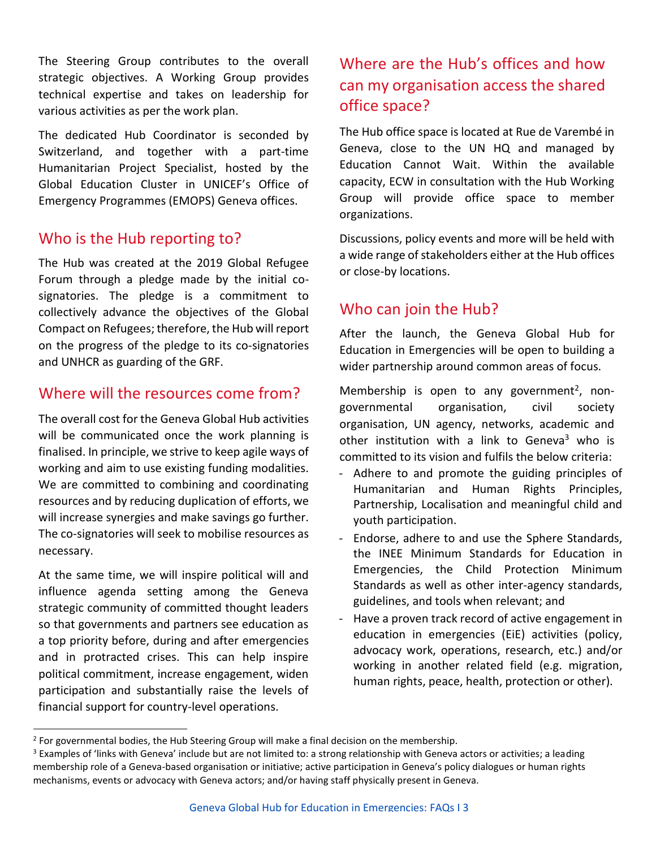The Steering Group contributes to the overall strategic objectives. A Working Group provides technical expertise and takes on leadership for various activities as per the work plan.

The dedicated Hub Coordinator is seconded by Switzerland, and together with a part-time Humanitarian Project Specialist, hosted by the Global Education Cluster in UNICEF's Office of Emergency Programmes (EMOPS) Geneva offices.

## Who is the Hub reporting to?

The Hub was created at the 2019 Global Refugee Forum through a pledge made by the initial cosignatories. The pledge is a commitment to collectively advance the objectives of the Global Compact on Refugees; therefore, the Hub will report on the progress of the pledge to its co-signatories and UNHCR as guarding of the GRF.

## Where will the resources come from?

The overall cost for the Geneva Global Hub activities will be communicated once the work planning is finalised. In principle, we strive to keep agile ways of working and aim to use existing funding modalities. We are committed to combining and coordinating resources and by reducing duplication of efforts, we will increase synergies and make savings go further. The co-signatories will seek to mobilise resources as necessary.

At the same time, we will inspire political will and influence agenda setting among the Geneva strategic community of committed thought leaders so that governments and partners see education as a top priority before, during and after emergencies and in protracted crises. This can help inspire political commitment, increase engagement, widen participation and substantially raise the levels of financial support for country-level operations.

## Where are the Hub's offices and how can my organisation access the shared office space?

The Hub office space is located at Rue de Varembé in Geneva, close to the UN HQ and managed by Education Cannot Wait. Within the available capacity, ECW in consultation with the Hub Working Group will provide office space to member organizations.

Discussions, policy events and more will be held with a wide range of stakeholders either at the Hub offices or close-by locations.

## Who can join the Hub?

After the launch, the Geneva Global Hub for Education in Emergencies will be open to building a wider partnership around common areas of focus.

Membership is open to any government<sup>2</sup>, nongovernmental organisation, civil society organisation, UN agency, networks, academic and other institution with a link to Geneva<sup>3</sup> who is committed to its vision and fulfils the below criteria:

- Adhere to and promote the guiding principles of Humanitarian and Human Rights Principles, Partnership, Localisation and meaningful child and youth participation.
- Endorse, adhere to and use the [Sphere Standards,](https://spherestandards.org/) the [INEE Minimum Standards](https://inee.org/standards) for Education in Emergencies, the [Child Protection Minimum](https://alliancecpha.org/en/CPMS_home)  [Standards](https://alliancecpha.org/en/CPMS_home) as well as other inter-agency standards, guidelines, and tools when relevant; and
- Have a proven track record of active engagement in education in emergencies (EiE) activities (policy, advocacy work, operations, research, etc.) and/or working in another related field (e.g. migration, human rights, peace, health, protection or other).

 $2$  For governmental bodies, the Hub Steering Group will make a final decision on the membership.

 $3$  Examples of 'links with Geneva' include but are not limited to: a strong relationship with Geneva actors or activities; a leading membership role of a Geneva-based organisation or initiative; active participation in Geneva's policy dialogues or human rights mechanisms, events or advocacy with Geneva actors; and/or having staff physically present in Geneva.